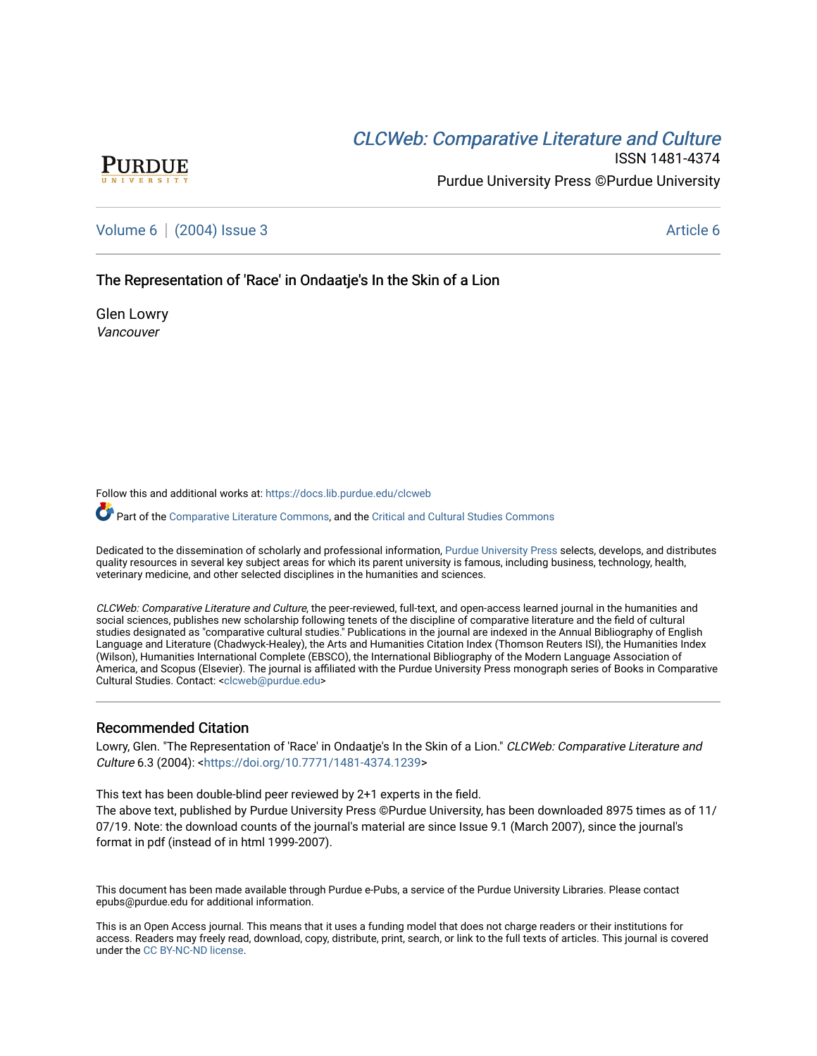# CLCW[eb: Comparative Liter](https://docs.lib.purdue.edu/clcweb)ature and Culture



ISSN 1481-4374 Purdue University Press ©Purdue University

[Volume 6](https://docs.lib.purdue.edu/clcweb/vol6) | [\(2004\) Issue 3](https://docs.lib.purdue.edu/clcweb/vol6/iss3) Article 6

The Representation of 'Race' in Ondaatje's In the Skin of a Lion

Glen Lowry Vancouver

Follow this and additional works at: [https://docs.lib.purdue.edu/clcweb](https://docs.lib.purdue.edu/clcweb?utm_source=docs.lib.purdue.edu%2Fclcweb%2Fvol6%2Fiss3%2F6&utm_medium=PDF&utm_campaign=PDFCoverPages)

Part of the [Comparative Literature Commons,](http://network.bepress.com/hgg/discipline/454?utm_source=docs.lib.purdue.edu%2Fclcweb%2Fvol6%2Fiss3%2F6&utm_medium=PDF&utm_campaign=PDFCoverPages) and the Critical and Cultural Studies Commons

Dedicated to the dissemination of scholarly and professional information, [Purdue University Press](http://www.thepress.purdue.edu/) selects, develops, and distributes quality resources in several key subject areas for which its parent university is famous, including business, technology, health, veterinary medicine, and other selected disciplines in the humanities and sciences.

CLCWeb: Comparative Literature and Culture, the peer-reviewed, full-text, and open-access learned journal in the humanities and social sciences, publishes new scholarship following tenets of the discipline of comparative literature and the field of cultural studies designated as "comparative cultural studies." Publications in the journal are indexed in the Annual Bibliography of English Language and Literature (Chadwyck-Healey), the Arts and Humanities Citation Index (Thomson Reuters ISI), the Humanities Index (Wilson), Humanities International Complete (EBSCO), the International Bibliography of the Modern Language Association of America, and Scopus (Elsevier). The journal is affiliated with the Purdue University Press monograph series of Books in Comparative Cultural Studies. Contact: [<clcweb@purdue.edu](mailto:clcweb@purdue.edu)>

### Recommended Citation

Lowry, Glen. "The Representation of 'Race' in Ondaatje's In the Skin of a Lion." CLCWeb: Comparative Literature and Culture 6.3 (2004): <[https://doi.org/10.7771/1481-4374.1239>](https://doi.org/10.7771/1481-4374.1239)

This text has been double-blind peer reviewed by 2+1 experts in the field.

The above text, published by Purdue University Press ©Purdue University, has been downloaded 8975 times as of 11/ 07/19. Note: the download counts of the journal's material are since Issue 9.1 (March 2007), since the journal's format in pdf (instead of in html 1999-2007).

This document has been made available through Purdue e-Pubs, a service of the Purdue University Libraries. Please contact epubs@purdue.edu for additional information.

This is an Open Access journal. This means that it uses a funding model that does not charge readers or their institutions for access. Readers may freely read, download, copy, distribute, print, search, or link to the full texts of articles. This journal is covered under the [CC BY-NC-ND license.](https://creativecommons.org/licenses/by-nc-nd/4.0/)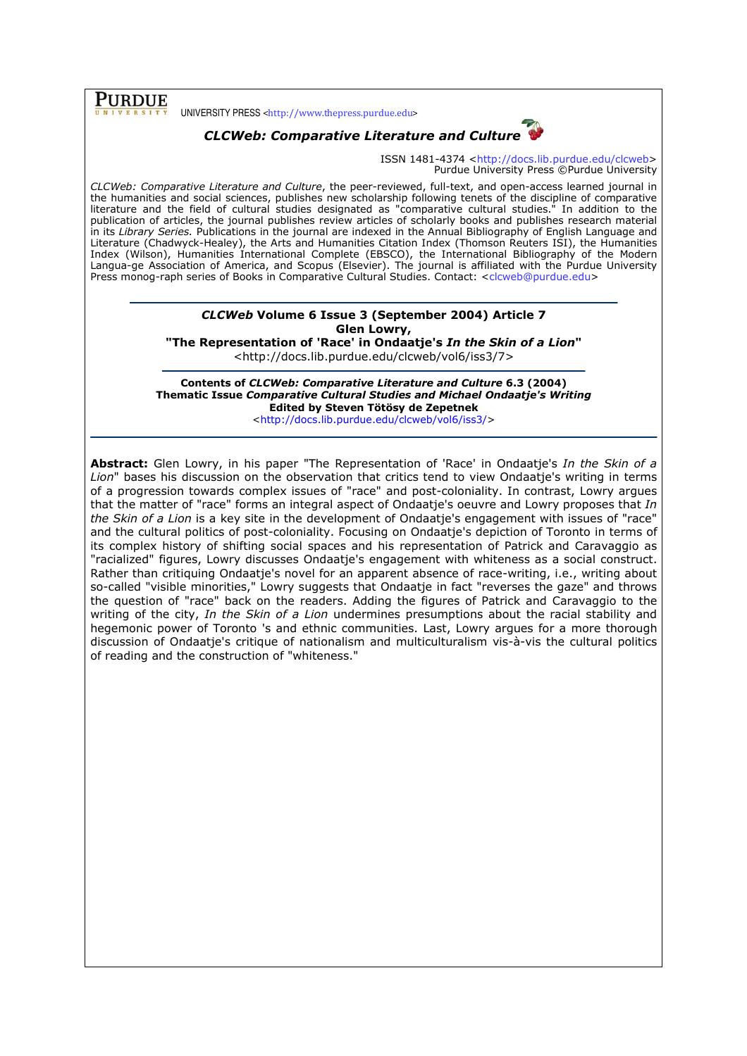## PURDUE

UNIVERSITY PRESS <http://www.thepress.purdue.edu>



ISSN 1481-4374 <http://docs.lib.purdue.edu/clcweb> Purdue University Press ©Purdue University

CLCWeb: Comparative Literature and Culture, the peer-reviewed, full-text, and open-access learned journal in the humanities and social sciences, publishes new scholarship following tenets of the discipline of comparative literature and the field of cultural studies designated as "comparative cultural studies." In addition to the publication of articles, the journal publishes review articles of scholarly books and publishes research material in its Library Series. Publications in the journal are indexed in the Annual Bibliography of English Language and Literature (Chadwyck-Healey), the Arts and Humanities Citation Index (Thomson Reuters ISI), the Humanities Index (Wilson), Humanities International Complete (EBSCO), the International Bibliography of the Modern Langua-ge Association of America, and Scopus (Elsevier). The journal is affiliated with the Purdue University Press monog-raph series of Books in Comparative Cultural Studies. Contact: <clcweb@purdue.edu>

## CLCWeb Volume 6 Issue 3 (September 2004) Article 7 Glen Lowry,

"The Representation of 'Race' in Ondaatje's In the Skin of a Lion" <http://docs.lib.purdue.edu/clcweb/vol6/iss3/7>

Contents of CLCWeb: Comparative Literature and Culture 6.3 (2004) Thematic Issue Comparative Cultural Studies and Michael Ondaatje's Writing Edited by Steven Tötösy de Zepetnek <http://docs.lib.purdue.edu/clcweb/vol6/iss3/>

Abstract: Glen Lowry, in his paper "The Representation of 'Race' in Ondaatje's In the Skin of a Lion" bases his discussion on the observation that critics tend to view Ondaatie's writing in terms of a progression towards complex issues of "race" and post-coloniality. In contrast, Lowry argues that the matter of "race" forms an integral aspect of Ondaatie's oeuvre and Lowry proposes that  $In$ the Skin of a Lion is a key site in the development of Ondaatje's engagement with issues of "race" and the cultural politics of post-coloniality. Focusing on Ondaatie's depiction of Toronto in terms of its complex history of shifting social spaces and his representation of Patrick and Caravaggio as "racialized" figures, Lowry discusses Ondaatje's engagement with whiteness as a social construct. Rather than critiquing Ondaatje's novel for an apparent absence of race-writing, i.e., writing about so-called "visible minorities," Lowry suggests that Ondaatje in fact "reverses the gaze" and throws the question of "race" back on the readers. Adding the figures of Patrick and Caravaggio to the writing of the city, In the Skin of a Lion undermines presumptions about the racial stability and hegemonic power of Toronto 's and ethnic communities. Last, Lowry argues for a more thorough discussion of Ondaatje's critique of nationalism and multiculturalism vis-à-vis the cultural politics of reading and the construction of "whiteness."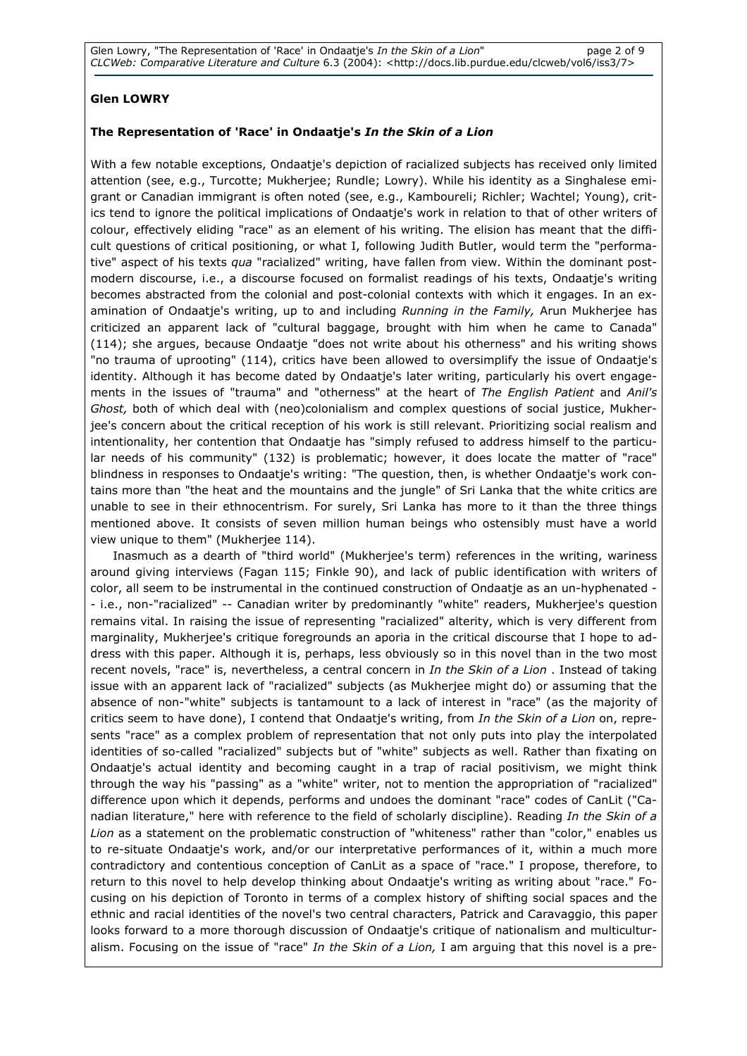## Glen LOWRY

### The Representation of 'Race' in Ondaatje's In the Skin of a Lion

With a few notable exceptions, Ondaatje's depiction of racialized subjects has received only limited attention (see, e.g., Turcotte; Mukherjee; Rundle; Lowry). While his identity as a Singhalese emigrant or Canadian immigrant is often noted (see, e.g., Kamboureli; Richler; Wachtel; Young), critics tend to ignore the political implications of Ondaatje's work in relation to that of other writers of colour, effectively eliding "race" as an element of his writing. The elision has meant that the difficult questions of critical positioning, or what I, following Judith Butler, would term the "performative" aspect of his texts qua "racialized" writing, have fallen from view. Within the dominant postmodern discourse, i.e., a discourse focused on formalist readings of his texts, Ondaatje's writing becomes abstracted from the colonial and post-colonial contexts with which it engages. In an examination of Ondaatje's writing, up to and including Running in the Family, Arun Mukherjee has criticized an apparent lack of "cultural baggage, brought with him when he came to Canada" (114); she argues, because Ondaatje "does not write about his otherness" and his writing shows "no trauma of uprooting" (114), critics have been allowed to oversimplify the issue of Ondaatje's identity. Although it has become dated by Ondaatje's later writing, particularly his overt engagements in the issues of "trauma" and "otherness" at the heart of The English Patient and Anil's Ghost, both of which deal with (neo)colonialism and complex questions of social justice, Mukherjee's concern about the critical reception of his work is still relevant. Prioritizing social realism and intentionality, her contention that Ondaatje has "simply refused to address himself to the particular needs of his community" (132) is problematic; however, it does locate the matter of "race" blindness in responses to Ondaatje's writing: "The question, then, is whether Ondaatje's work contains more than "the heat and the mountains and the jungle" of Sri Lanka that the white critics are unable to see in their ethnocentrism. For surely, Sri Lanka has more to it than the three things mentioned above. It consists of seven million human beings who ostensibly must have a world view unique to them" (Mukherjee 114).

Inasmuch as a dearth of "third world" (Mukherjee's term) references in the writing, wariness around giving interviews (Fagan 115; Finkle 90), and lack of public identification with writers of color, all seem to be instrumental in the continued construction of Ondaatje as an un-hyphenated - - i.e., non-"racialized" -- Canadian writer by predominantly "white" readers, Mukherjee's question remains vital. In raising the issue of representing "racialized" alterity, which is very different from marginality, Mukherjee's critique foregrounds an aporia in the critical discourse that I hope to address with this paper. Although it is, perhaps, less obviously so in this novel than in the two most recent novels, "race" is, nevertheless, a central concern in In the Skin of a Lion . Instead of taking issue with an apparent lack of "racialized" subjects (as Mukherjee might do) or assuming that the absence of non-"white" subjects is tantamount to a lack of interest in "race" (as the majority of critics seem to have done), I contend that Ondaatje's writing, from In the Skin of a Lion on, represents "race" as a complex problem of representation that not only puts into play the interpolated identities of so-called "racialized" subjects but of "white" subjects as well. Rather than fixating on Ondaatje's actual identity and becoming caught in a trap of racial positivism, we might think through the way his "passing" as a "white" writer, not to mention the appropriation of "racialized" difference upon which it depends, performs and undoes the dominant "race" codes of CanLit ("Canadian literature," here with reference to the field of scholarly discipline). Reading In the Skin of a Lion as a statement on the problematic construction of "whiteness" rather than "color," enables us to re-situate Ondaatje's work, and/or our interpretative performances of it, within a much more contradictory and contentious conception of CanLit as a space of "race." I propose, therefore, to return to this novel to help develop thinking about Ondaatje's writing as writing about "race." Focusing on his depiction of Toronto in terms of a complex history of shifting social spaces and the ethnic and racial identities of the novel's two central characters, Patrick and Caravaggio, this paper looks forward to a more thorough discussion of Ondaatje's critique of nationalism and multiculturalism. Focusing on the issue of "race" In the Skin of a Lion, I am arguing that this novel is a pre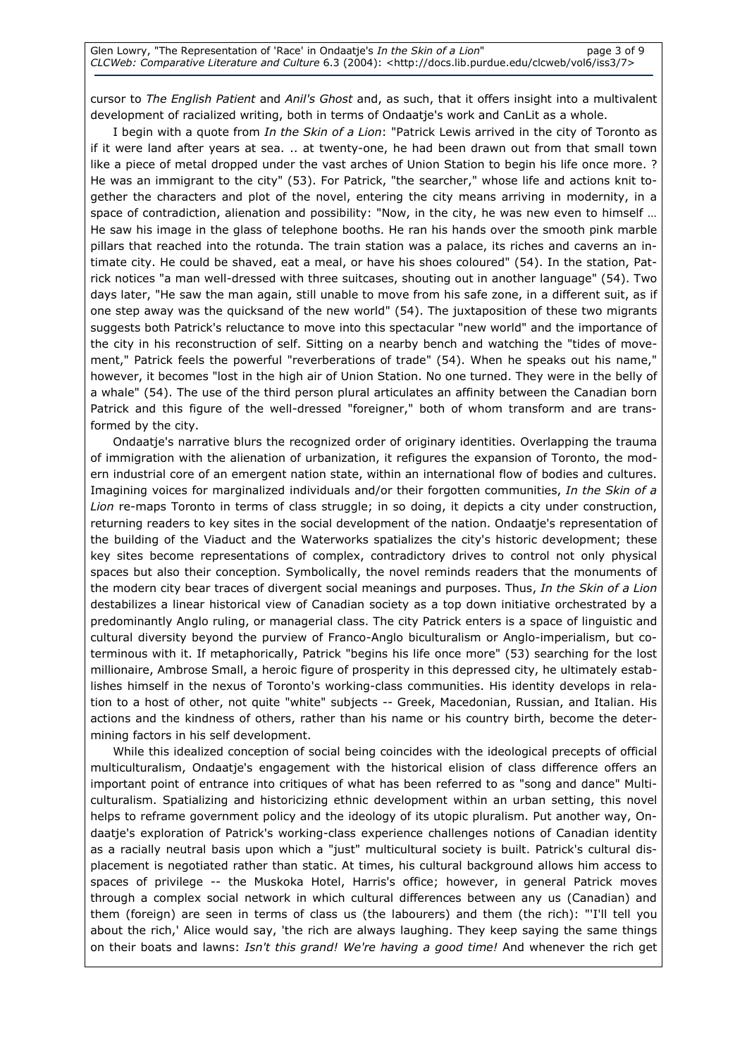cursor to The English Patient and Anil's Ghost and, as such, that it offers insight into a multivalent development of racialized writing, both in terms of Ondaatje's work and CanLit as a whole.

I begin with a quote from In the Skin of a Lion: "Patrick Lewis arrived in the city of Toronto as if it were land after years at sea. .. at twenty-one, he had been drawn out from that small town like a piece of metal dropped under the vast arches of Union Station to begin his life once more. ? He was an immigrant to the city" (53). For Patrick, "the searcher," whose life and actions knit together the characters and plot of the novel, entering the city means arriving in modernity, in a space of contradiction, alienation and possibility: "Now, in the city, he was new even to himself ... He saw his image in the glass of telephone booths. He ran his hands over the smooth pink marble pillars that reached into the rotunda. The train station was a palace, its riches and caverns an intimate city. He could be shaved, eat a meal, or have his shoes coloured" (54). In the station, Patrick notices "a man well-dressed with three suitcases, shouting out in another language" (54). Two days later, "He saw the man again, still unable to move from his safe zone, in a different suit, as if one step away was the quicksand of the new world" (54). The juxtaposition of these two migrants suggests both Patrick's reluctance to move into this spectacular "new world" and the importance of the city in his reconstruction of self. Sitting on a nearby bench and watching the "tides of movement," Patrick feels the powerful "reverberations of trade" (54). When he speaks out his name," however, it becomes "lost in the high air of Union Station. No one turned. They were in the belly of a whale" (54). The use of the third person plural articulates an affinity between the Canadian born Patrick and this figure of the well-dressed "foreigner," both of whom transform and are transformed by the city.

Ondaatje's narrative blurs the recognized order of originary identities. Overlapping the trauma of immigration with the alienation of urbanization, it refigures the expansion of Toronto, the modern industrial core of an emergent nation state, within an international flow of bodies and cultures. Imagining voices for marginalized individuals and/or their forgotten communities, In the Skin of a Lion re-maps Toronto in terms of class struggle; in so doing, it depicts a city under construction, returning readers to key sites in the social development of the nation. Ondaatje's representation of the building of the Viaduct and the Waterworks spatializes the city's historic development; these key sites become representations of complex, contradictory drives to control not only physical spaces but also their conception. Symbolically, the novel reminds readers that the monuments of the modern city bear traces of divergent social meanings and purposes. Thus, In the Skin of a Lion destabilizes a linear historical view of Canadian society as a top down initiative orchestrated by a predominantly Anglo ruling, or managerial class. The city Patrick enters is a space of linguistic and cultural diversity beyond the purview of Franco-Anglo biculturalism or Anglo-imperialism, but coterminous with it. If metaphorically, Patrick "begins his life once more" (53) searching for the lost millionaire, Ambrose Small, a heroic figure of prosperity in this depressed city, he ultimately establishes himself in the nexus of Toronto's working-class communities. His identity develops in relation to a host of other, not quite "white" subjects -- Greek, Macedonian, Russian, and Italian. His actions and the kindness of others, rather than his name or his country birth, become the determining factors in his self development.

While this idealized conception of social being coincides with the ideological precepts of official multiculturalism, Ondaatje's engagement with the historical elision of class difference offers an important point of entrance into critiques of what has been referred to as "song and dance" Multiculturalism. Spatializing and historicizing ethnic development within an urban setting, this novel helps to reframe government policy and the ideology of its utopic pluralism. Put another way, Ondaatje's exploration of Patrick's working-class experience challenges notions of Canadian identity as a racially neutral basis upon which a "just" multicultural society is built. Patrick's cultural displacement is negotiated rather than static. At times, his cultural background allows him access to spaces of privilege -- the Muskoka Hotel, Harris's office; however, in general Patrick moves through a complex social network in which cultural differences between any us (Canadian) and them (foreign) are seen in terms of class us (the labourers) and them (the rich): "'I'll tell you about the rich,' Alice would say, 'the rich are always laughing. They keep saying the same things on their boats and lawns: Isn't this grand! We're having a good time! And whenever the rich get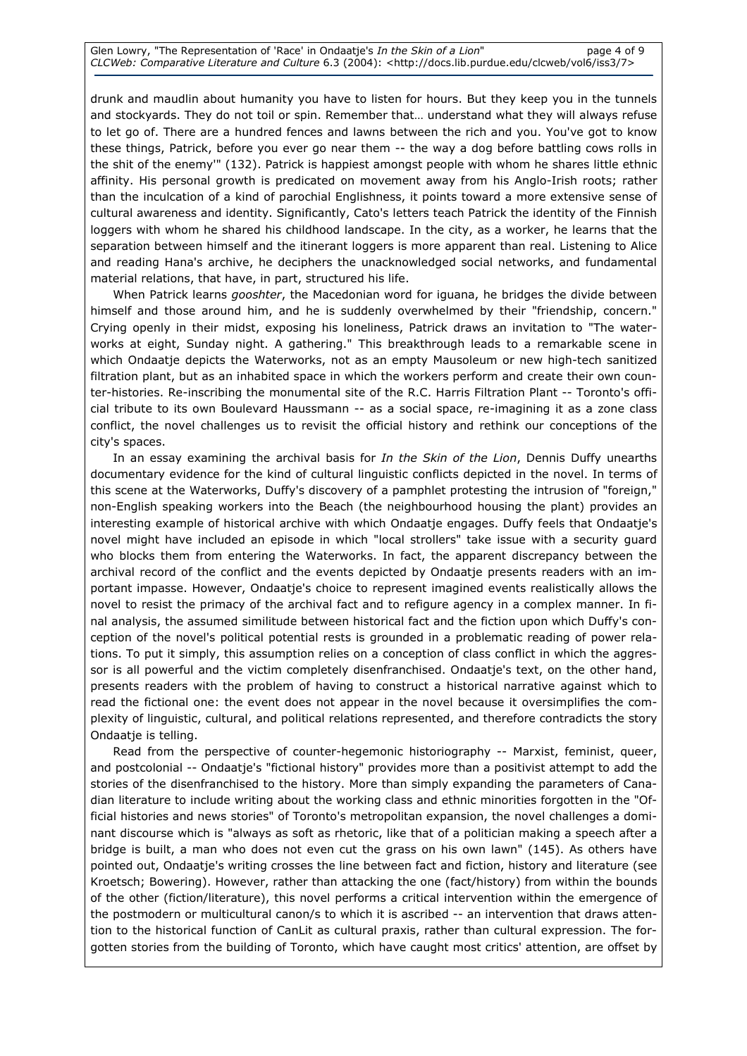drunk and maudlin about humanity you have to listen for hours. But they keep you in the tunnels and stockyards. They do not toil or spin. Remember that… understand what they will always refuse to let go of. There are a hundred fences and lawns between the rich and you. You've got to know these things, Patrick, before you ever go near them -- the way a dog before battling cows rolls in the shit of the enemy'" (132). Patrick is happiest amongst people with whom he shares little ethnic affinity. His personal growth is predicated on movement away from his Anglo-Irish roots; rather than the inculcation of a kind of parochial Englishness, it points toward a more extensive sense of cultural awareness and identity. Significantly, Cato's letters teach Patrick the identity of the Finnish loggers with whom he shared his childhood landscape. In the city, as a worker, he learns that the separation between himself and the itinerant loggers is more apparent than real. Listening to Alice and reading Hana's archive, he deciphers the unacknowledged social networks, and fundamental material relations, that have, in part, structured his life.

When Patrick learns gooshter, the Macedonian word for iguana, he bridges the divide between himself and those around him, and he is suddenly overwhelmed by their "friendship, concern." Crying openly in their midst, exposing his loneliness, Patrick draws an invitation to "The waterworks at eight, Sunday night. A gathering." This breakthrough leads to a remarkable scene in which Ondaatje depicts the Waterworks, not as an empty Mausoleum or new high-tech sanitized filtration plant, but as an inhabited space in which the workers perform and create their own counter-histories. Re-inscribing the monumental site of the R.C. Harris Filtration Plant -- Toronto's official tribute to its own Boulevard Haussmann -- as a social space, re-imagining it as a zone class conflict, the novel challenges us to revisit the official history and rethink our conceptions of the city's spaces.

In an essay examining the archival basis for In the Skin of the Lion, Dennis Duffy unearths documentary evidence for the kind of cultural linguistic conflicts depicted in the novel. In terms of this scene at the Waterworks, Duffy's discovery of a pamphlet protesting the intrusion of "foreign," non-English speaking workers into the Beach (the neighbourhood housing the plant) provides an interesting example of historical archive with which Ondaatje engages. Duffy feels that Ondaatje's novel might have included an episode in which "local strollers" take issue with a security guard who blocks them from entering the Waterworks. In fact, the apparent discrepancy between the archival record of the conflict and the events depicted by Ondaatje presents readers with an important impasse. However, Ondaatje's choice to represent imagined events realistically allows the novel to resist the primacy of the archival fact and to refigure agency in a complex manner. In final analysis, the assumed similitude between historical fact and the fiction upon which Duffy's conception of the novel's political potential rests is grounded in a problematic reading of power relations. To put it simply, this assumption relies on a conception of class conflict in which the aggressor is all powerful and the victim completely disenfranchised. Ondaatje's text, on the other hand, presents readers with the problem of having to construct a historical narrative against which to read the fictional one: the event does not appear in the novel because it oversimplifies the complexity of linguistic, cultural, and political relations represented, and therefore contradicts the story Ondaatje is telling.

Read from the perspective of counter-hegemonic historiography -- Marxist, feminist, queer, and postcolonial -- Ondaatje's "fictional history" provides more than a positivist attempt to add the stories of the disenfranchised to the history. More than simply expanding the parameters of Canadian literature to include writing about the working class and ethnic minorities forgotten in the "Official histories and news stories" of Toronto's metropolitan expansion, the novel challenges a dominant discourse which is "always as soft as rhetoric, like that of a politician making a speech after a bridge is built, a man who does not even cut the grass on his own lawn" (145). As others have pointed out, Ondaatje's writing crosses the line between fact and fiction, history and literature (see Kroetsch; Bowering). However, rather than attacking the one (fact/history) from within the bounds of the other (fiction/literature), this novel performs a critical intervention within the emergence of the postmodern or multicultural canon/s to which it is ascribed -- an intervention that draws attention to the historical function of CanLit as cultural praxis, rather than cultural expression. The forgotten stories from the building of Toronto, which have caught most critics' attention, are offset by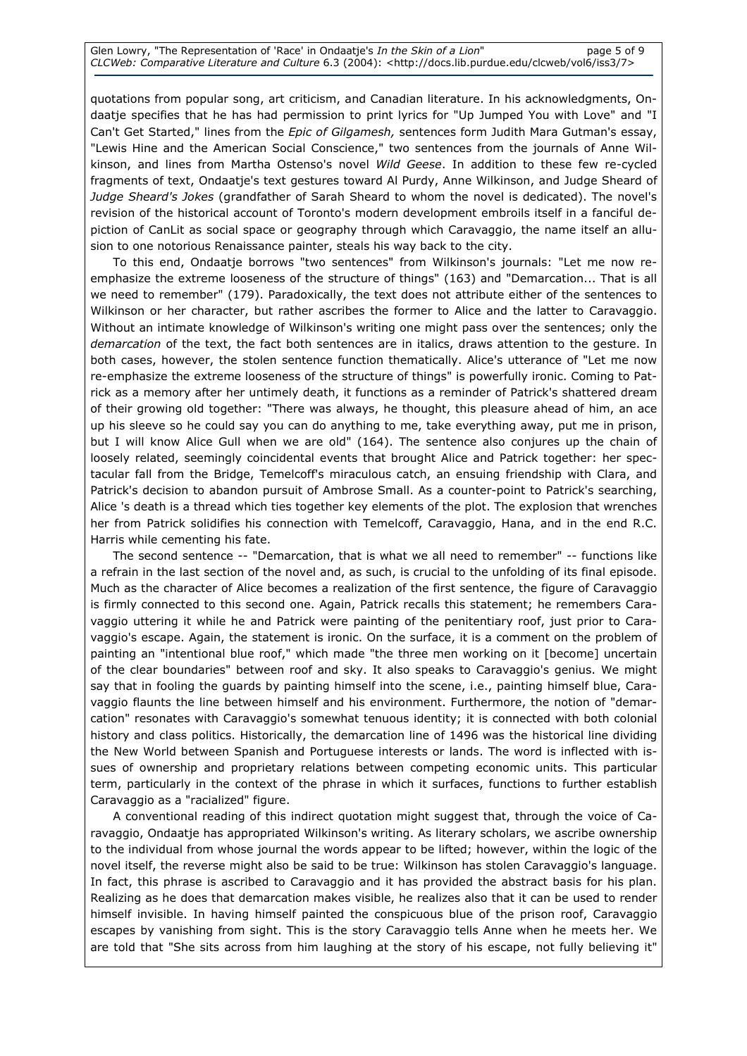quotations from popular song, art criticism, and Canadian literature. In his acknowledgments, Ondaatje specifies that he has had permission to print lyrics for "Up Jumped You with Love" and "I Can't Get Started," lines from the *Epic of Gilgamesh*, sentences form Judith Mara Gutman's essay, "Lewis Hine and the American Social Conscience," two sentences from the journals of Anne Wilkinson, and lines from Martha Ostenso's novel Wild Geese. In addition to these few re-cycled fragments of text, Ondaatje's text gestures toward Al Purdy, Anne Wilkinson, and Judge Sheard of Judge Sheard's Jokes (grandfather of Sarah Sheard to whom the novel is dedicated). The novel's revision of the historical account of Toronto's modern development embroils itself in a fanciful depiction of CanLit as social space or geography through which Caravaggio, the name itself an allusion to one notorious Renaissance painter, steals his way back to the city.

To this end, Ondaatje borrows "two sentences" from Wilkinson's journals: "Let me now reemphasize the extreme looseness of the structure of things" (163) and "Demarcation... That is all we need to remember" (179). Paradoxically, the text does not attribute either of the sentences to Wilkinson or her character, but rather ascribes the former to Alice and the latter to Caravaggio. Without an intimate knowledge of Wilkinson's writing one might pass over the sentences; only the demarcation of the text, the fact both sentences are in italics, draws attention to the gesture. In both cases, however, the stolen sentence function thematically. Alice's utterance of "Let me now re-emphasize the extreme looseness of the structure of things" is powerfully ironic. Coming to Patrick as a memory after her untimely death, it functions as a reminder of Patrick's shattered dream of their growing old together: "There was always, he thought, this pleasure ahead of him, an ace up his sleeve so he could say you can do anything to me, take everything away, put me in prison, but I will know Alice Gull when we are old" (164). The sentence also conjures up the chain of loosely related, seemingly coincidental events that brought Alice and Patrick together: her spectacular fall from the Bridge, Temelcoff's miraculous catch, an ensuing friendship with Clara, and Patrick's decision to abandon pursuit of Ambrose Small. As a counter-point to Patrick's searching, Alice 's death is a thread which ties together key elements of the plot. The explosion that wrenches her from Patrick solidifies his connection with Temelcoff, Caravaggio, Hana, and in the end R.C. Harris while cementing his fate.

The second sentence -- "Demarcation, that is what we all need to remember" -- functions like a refrain in the last section of the novel and, as such, is crucial to the unfolding of its final episode. Much as the character of Alice becomes a realization of the first sentence, the figure of Caravaggio is firmly connected to this second one. Again, Patrick recalls this statement; he remembers Caravaggio uttering it while he and Patrick were painting of the penitentiary roof, just prior to Caravaggio's escape. Again, the statement is ironic. On the surface, it is a comment on the problem of painting an "intentional blue roof," which made "the three men working on it [become] uncertain of the clear boundaries" between roof and sky. It also speaks to Caravaggio's genius. We might say that in fooling the guards by painting himself into the scene, i.e., painting himself blue, Caravaggio flaunts the line between himself and his environment. Furthermore, the notion of "demarcation" resonates with Caravaggio's somewhat tenuous identity; it is connected with both colonial history and class politics. Historically, the demarcation line of 1496 was the historical line dividing the New World between Spanish and Portuguese interests or lands. The word is inflected with issues of ownership and proprietary relations between competing economic units. This particular term, particularly in the context of the phrase in which it surfaces, functions to further establish Caravaggio as a "racialized" figure.

A conventional reading of this indirect quotation might suggest that, through the voice of Caravaggio, Ondaatje has appropriated Wilkinson's writing. As literary scholars, we ascribe ownership to the individual from whose journal the words appear to be lifted; however, within the logic of the novel itself, the reverse might also be said to be true: Wilkinson has stolen Caravaggio's language. In fact, this phrase is ascribed to Caravaggio and it has provided the abstract basis for his plan. Realizing as he does that demarcation makes visible, he realizes also that it can be used to render himself invisible. In having himself painted the conspicuous blue of the prison roof, Caravaggio escapes by vanishing from sight. This is the story Caravaggio tells Anne when he meets her. We are told that "She sits across from him laughing at the story of his escape, not fully believing it"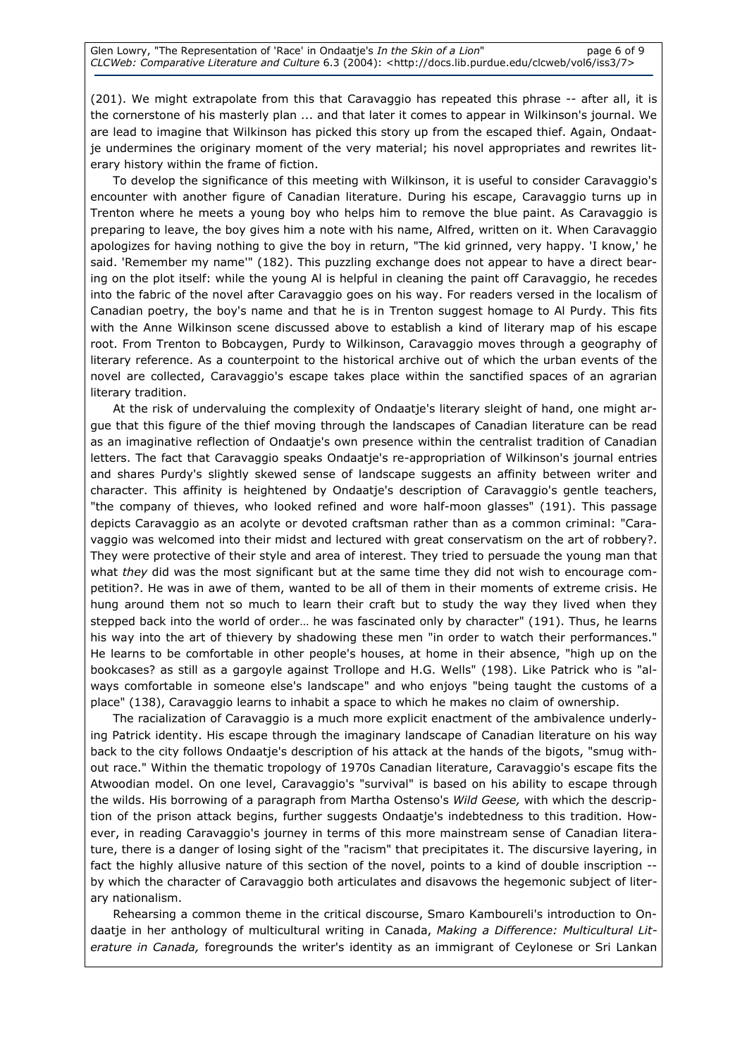(201). We might extrapolate from this that Caravaggio has repeated this phrase -- after all, it is the cornerstone of his masterly plan ... and that later it comes to appear in Wilkinson's journal. We are lead to imagine that Wilkinson has picked this story up from the escaped thief. Again, Ondaatje undermines the originary moment of the very material; his novel appropriates and rewrites literary history within the frame of fiction.

To develop the significance of this meeting with Wilkinson, it is useful to consider Caravaggio's encounter with another figure of Canadian literature. During his escape, Caravaggio turns up in Trenton where he meets a young boy who helps him to remove the blue paint. As Caravaggio is preparing to leave, the boy gives him a note with his name, Alfred, written on it. When Caravaggio apologizes for having nothing to give the boy in return, "The kid grinned, very happy. 'I know,' he said. 'Remember my name'" (182). This puzzling exchange does not appear to have a direct bearing on the plot itself: while the young Al is helpful in cleaning the paint off Caravaggio, he recedes into the fabric of the novel after Caravaggio goes on his way. For readers versed in the localism of Canadian poetry, the boy's name and that he is in Trenton suggest homage to Al Purdy. This fits with the Anne Wilkinson scene discussed above to establish a kind of literary map of his escape root. From Trenton to Bobcaygen, Purdy to Wilkinson, Caravaggio moves through a geography of literary reference. As a counterpoint to the historical archive out of which the urban events of the novel are collected, Caravaggio's escape takes place within the sanctified spaces of an agrarian literary tradition.

At the risk of undervaluing the complexity of Ondaatje's literary sleight of hand, one might argue that this figure of the thief moving through the landscapes of Canadian literature can be read as an imaginative reflection of Ondaatje's own presence within the centralist tradition of Canadian letters. The fact that Caravaggio speaks Ondaatje's re-appropriation of Wilkinson's journal entries and shares Purdy's slightly skewed sense of landscape suggests an affinity between writer and character. This affinity is heightened by Ondaatje's description of Caravaggio's gentle teachers, "the company of thieves, who looked refined and wore half-moon glasses" (191). This passage depicts Caravaggio as an acolyte or devoted craftsman rather than as a common criminal: "Caravaggio was welcomed into their midst and lectured with great conservatism on the art of robbery?. They were protective of their style and area of interest. They tried to persuade the young man that what they did was the most significant but at the same time they did not wish to encourage competition?. He was in awe of them, wanted to be all of them in their moments of extreme crisis. He hung around them not so much to learn their craft but to study the way they lived when they stepped back into the world of order… he was fascinated only by character" (191). Thus, he learns his way into the art of thievery by shadowing these men "in order to watch their performances." He learns to be comfortable in other people's houses, at home in their absence, "high up on the bookcases? as still as a gargoyle against Trollope and H.G. Wells" (198). Like Patrick who is "always comfortable in someone else's landscape" and who enjoys "being taught the customs of a place" (138), Caravaggio learns to inhabit a space to which he makes no claim of ownership.

The racialization of Caravaggio is a much more explicit enactment of the ambivalence underlying Patrick identity. His escape through the imaginary landscape of Canadian literature on his way back to the city follows Ondaatje's description of his attack at the hands of the bigots, "smug without race." Within the thematic tropology of 1970s Canadian literature, Caravaggio's escape fits the Atwoodian model. On one level, Caravaggio's "survival" is based on his ability to escape through the wilds. His borrowing of a paragraph from Martha Ostenso's Wild Geese, with which the description of the prison attack begins, further suggests Ondaatje's indebtedness to this tradition. However, in reading Caravaggio's journey in terms of this more mainstream sense of Canadian literature, there is a danger of losing sight of the "racism" that precipitates it. The discursive layering, in fact the highly allusive nature of this section of the novel, points to a kind of double inscription - by which the character of Caravaggio both articulates and disavows the hegemonic subject of literary nationalism.

Rehearsing a common theme in the critical discourse, Smaro Kamboureli's introduction to Ondaatje in her anthology of multicultural writing in Canada, Making a Difference: Multicultural Literature in Canada, foregrounds the writer's identity as an immigrant of Ceylonese or Sri Lankan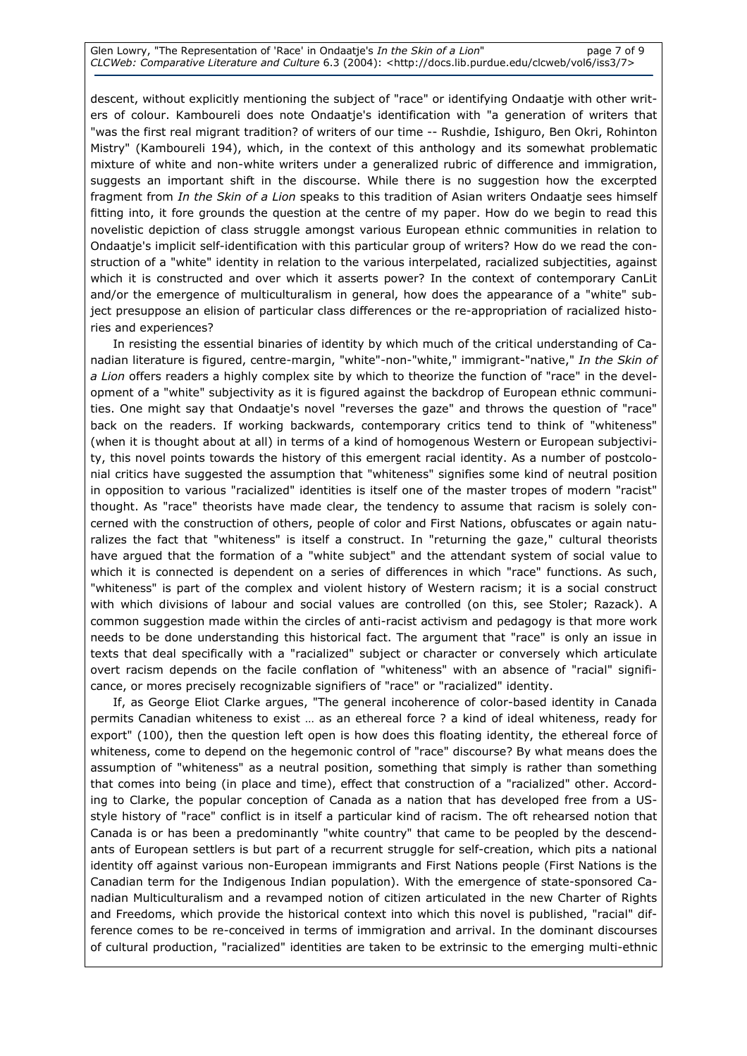Glen Lowry, "The Representation of 'Race' in Ondaatje's In the Skin of a Lion" page 7 of 9 CLCWeb: Comparative Literature and Culture 6.3 (2004): <http://docs.lib.purdue.edu/clcweb/vol6/iss3/7>

descent, without explicitly mentioning the subject of "race" or identifying Ondaatje with other writers of colour. Kamboureli does note Ondaatje's identification with "a generation of writers that "was the first real migrant tradition? of writers of our time -- Rushdie, Ishiguro, Ben Okri, Rohinton Mistry" (Kamboureli 194), which, in the context of this anthology and its somewhat problematic mixture of white and non-white writers under a generalized rubric of difference and immigration, suggests an important shift in the discourse. While there is no suggestion how the excerpted fragment from In the Skin of a Lion speaks to this tradition of Asian writers Ondaatje sees himself fitting into, it fore grounds the question at the centre of my paper. How do we begin to read this novelistic depiction of class struggle amongst various European ethnic communities in relation to Ondaatje's implicit self-identification with this particular group of writers? How do we read the construction of a "white" identity in relation to the various interpelated, racialized subjectities, against which it is constructed and over which it asserts power? In the context of contemporary CanLit and/or the emergence of multiculturalism in general, how does the appearance of a "white" subject presuppose an elision of particular class differences or the re-appropriation of racialized histories and experiences?

In resisting the essential binaries of identity by which much of the critical understanding of Canadian literature is figured, centre-margin, "white"-non-"white," immigrant-"native," In the Skin of a Lion offers readers a highly complex site by which to theorize the function of "race" in the development of a "white" subjectivity as it is figured against the backdrop of European ethnic communities. One might say that Ondaatje's novel "reverses the gaze" and throws the question of "race" back on the readers. If working backwards, contemporary critics tend to think of "whiteness" (when it is thought about at all) in terms of a kind of homogenous Western or European subjectivity, this novel points towards the history of this emergent racial identity. As a number of postcolonial critics have suggested the assumption that "whiteness" signifies some kind of neutral position in opposition to various "racialized" identities is itself one of the master tropes of modern "racist" thought. As "race" theorists have made clear, the tendency to assume that racism is solely concerned with the construction of others, people of color and First Nations, obfuscates or again naturalizes the fact that "whiteness" is itself a construct. In "returning the gaze," cultural theorists have argued that the formation of a "white subject" and the attendant system of social value to which it is connected is dependent on a series of differences in which "race" functions. As such, "whiteness" is part of the complex and violent history of Western racism; it is a social construct with which divisions of labour and social values are controlled (on this, see Stoler; Razack). A common suggestion made within the circles of anti-racist activism and pedagogy is that more work needs to be done understanding this historical fact. The argument that "race" is only an issue in texts that deal specifically with a "racialized" subject or character or conversely which articulate overt racism depends on the facile conflation of "whiteness" with an absence of "racial" significance, or mores precisely recognizable signifiers of "race" or "racialized" identity.

If, as George Eliot Clarke argues, "The general incoherence of color-based identity in Canada permits Canadian whiteness to exist … as an ethereal force ? a kind of ideal whiteness, ready for export" (100), then the question left open is how does this floating identity, the ethereal force of whiteness, come to depend on the hegemonic control of "race" discourse? By what means does the assumption of "whiteness" as a neutral position, something that simply is rather than something that comes into being (in place and time), effect that construction of a "racialized" other. According to Clarke, the popular conception of Canada as a nation that has developed free from a USstyle history of "race" conflict is in itself a particular kind of racism. The oft rehearsed notion that Canada is or has been a predominantly "white country" that came to be peopled by the descendants of European settlers is but part of a recurrent struggle for self-creation, which pits a national identity off against various non-European immigrants and First Nations people (First Nations is the Canadian term for the Indigenous Indian population). With the emergence of state-sponsored Canadian Multiculturalism and a revamped notion of citizen articulated in the new Charter of Rights and Freedoms, which provide the historical context into which this novel is published, "racial" difference comes to be re-conceived in terms of immigration and arrival. In the dominant discourses of cultural production, "racialized" identities are taken to be extrinsic to the emerging multi-ethnic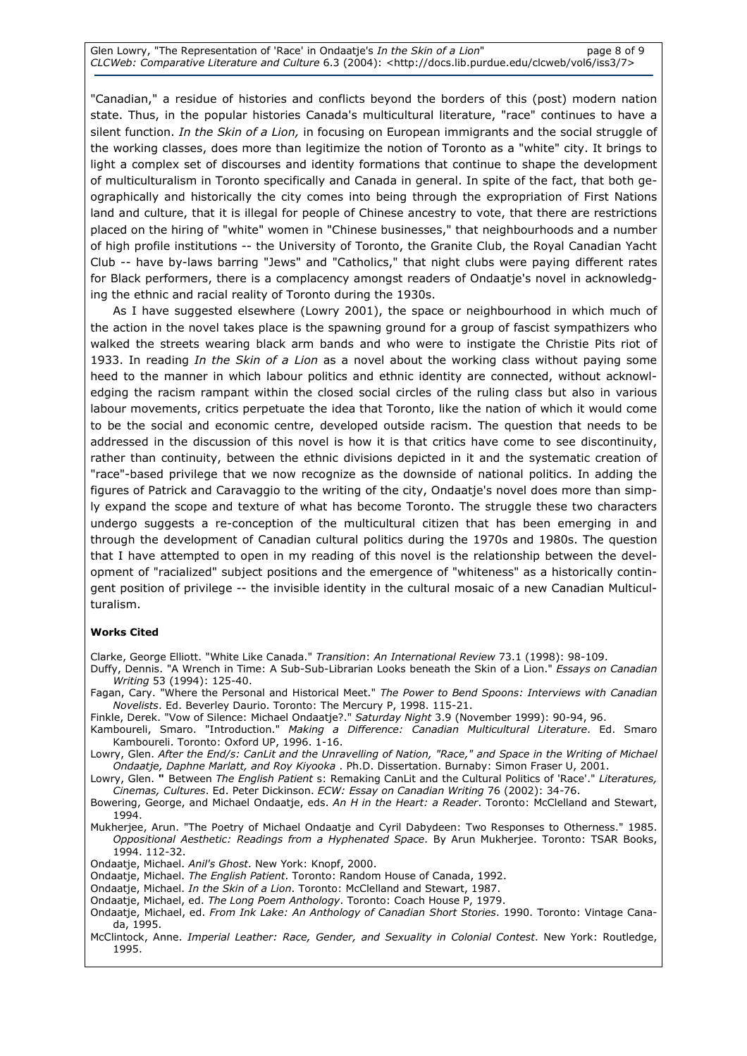"Canadian," a residue of histories and conflicts beyond the borders of this (post) modern nation state. Thus, in the popular histories Canada's multicultural literature, "race" continues to have a silent function. In the Skin of a Lion, in focusing on European immigrants and the social struggle of the working classes, does more than legitimize the notion of Toronto as a "white" city. It brings to light a complex set of discourses and identity formations that continue to shape the development of multiculturalism in Toronto specifically and Canada in general. In spite of the fact, that both geographically and historically the city comes into being through the expropriation of First Nations land and culture, that it is illegal for people of Chinese ancestry to vote, that there are restrictions placed on the hiring of "white" women in "Chinese businesses," that neighbourhoods and a number of high profile institutions -- the University of Toronto, the Granite Club, the Royal Canadian Yacht Club -- have by-laws barring "Jews" and "Catholics," that night clubs were paying different rates for Black performers, there is a complacency amongst readers of Ondaatje's novel in acknowledging the ethnic and racial reality of Toronto during the 1930s.

As I have suggested elsewhere (Lowry 2001), the space or neighbourhood in which much of the action in the novel takes place is the spawning ground for a group of fascist sympathizers who walked the streets wearing black arm bands and who were to instigate the Christie Pits riot of 1933. In reading In the Skin of a Lion as a novel about the working class without paying some heed to the manner in which labour politics and ethnic identity are connected, without acknowledging the racism rampant within the closed social circles of the ruling class but also in various labour movements, critics perpetuate the idea that Toronto, like the nation of which it would come to be the social and economic centre, developed outside racism. The question that needs to be addressed in the discussion of this novel is how it is that critics have come to see discontinuity, rather than continuity, between the ethnic divisions depicted in it and the systematic creation of "race"-based privilege that we now recognize as the downside of national politics. In adding the figures of Patrick and Caravaggio to the writing of the city, Ondaatje's novel does more than simply expand the scope and texture of what has become Toronto. The struggle these two characters undergo suggests a re-conception of the multicultural citizen that has been emerging in and through the development of Canadian cultural politics during the 1970s and 1980s. The question that I have attempted to open in my reading of this novel is the relationship between the development of "racialized" subject positions and the emergence of "whiteness" as a historically contingent position of privilege -- the invisible identity in the cultural mosaic of a new Canadian Multiculturalism.

#### Works Cited

Clarke, George Elliott. "White Like Canada." Transition: An International Review 73.1 (1998): 98-109.

Duffy, Dennis. "A Wrench in Time: A Sub-Sub-Librarian Looks beneath the Skin of a Lion." Essays on Canadian Writing 53 (1994): 125-40.

Fagan, Cary. "Where the Personal and Historical Meet." The Power to Bend Spoons: Interviews with Canadian Novelists. Ed. Beverley Daurio. Toronto: The Mercury P, 1998. 115-21.

Finkle, Derek. "Vow of Silence: Michael Ondaatje?." Saturday Night 3.9 (November 1999): 90-94, 96.

- Kamboureli, Smaro. "Introduction." Making a Difference: Canadian Multicultural Literature. Ed. Smaro Kamboureli. Toronto: Oxford UP, 1996. 1-16.
- Lowry, Glen. After the End/s: CanLit and the Unravelling of Nation, "Race," and Space in the Writing of Michael Ondaatje, Daphne Marlatt, and Roy Kiyooka . Ph.D. Dissertation. Burnaby: Simon Fraser U, 2001.

Lowry, Glen. " Between The English Patient s: Remaking CanLit and the Cultural Politics of 'Race'." Literatures, Cinemas, Cultures. Ed. Peter Dickinson. ECW: Essay on Canadian Writing 76 (2002): 34-76.

Bowering, George, and Michael Ondaatje, eds. An H in the Heart: a Reader. Toronto: McClelland and Stewart, 1994.

Mukherjee, Arun. "The Poetry of Michael Ondaatje and Cyril Dabydeen: Two Responses to Otherness." 1985. Oppositional Aesthetic: Readings from a Hyphenated Space. By Arun Mukherjee. Toronto: TSAR Books, 1994. 112-32.

Ondaatje, Michael. Anil's Ghost. New York: Knopf, 2000.

Ondaatje, Michael. The English Patient. Toronto: Random House of Canada, 1992.

Ondaatje, Michael. In the Skin of a Lion. Toronto: McClelland and Stewart, 1987.

- Ondaatje, Michael, ed. The Long Poem Anthology. Toronto: Coach House P, 1979.
- Ondaatje, Michael, ed. From Ink Lake: An Anthology of Canadian Short Stories. 1990. Toronto: Vintage Canada, 1995.
- McClintock, Anne. Imperial Leather: Race, Gender, and Sexuality in Colonial Contest. New York: Routledge, 1995.